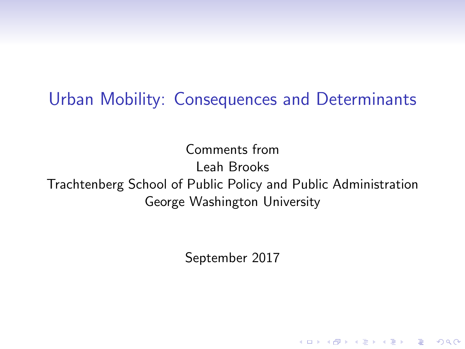#### Urban Mobility: Consequences and Determinants

Comments from Leah Brooks Trachtenberg School of Public Policy and Public Administration George Washington University

September 2017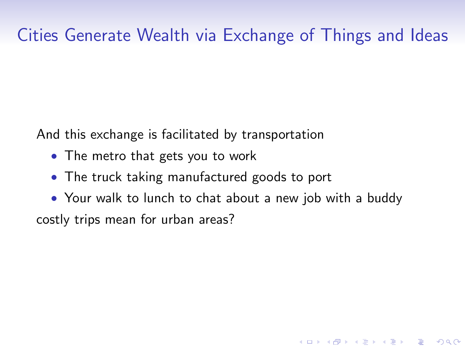## Cities Generate Wealth via Exchange of Things and Ideas

And this exchange is facilitated by transportation

- The metro that gets you to work
- The truck taking manufactured goods to port
- Your walk to lunch to chat about a new job with a buddy costly trips mean for urban areas?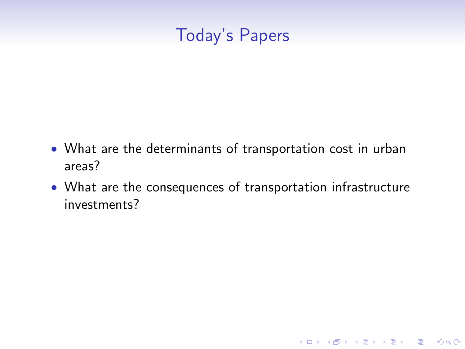### Today's Papers

- What are the determinants of transportation cost in urban areas?
- What are the consequences of transportation infrastructure investments?

K ロ ▶ K @ ▶ K 할 > K 할 > 1 할 > 1 이익어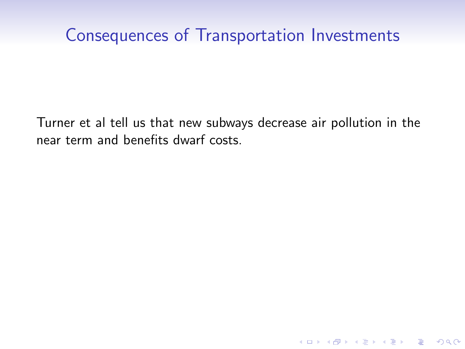### Consequences of Transportation Investments

Turner et al tell us that new subways decrease air pollution in the near term and benefits dwarf costs.

**K ロ ▶ K @ ▶ K 할 X X 할 X → 할 X → 9 Q Q ^**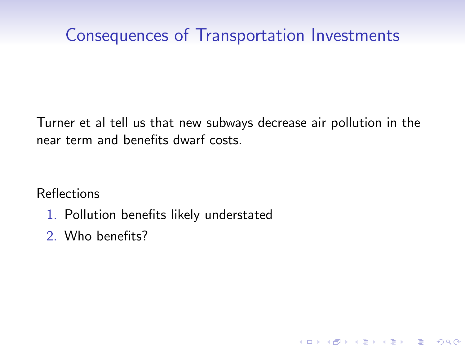## Consequences of Transportation Investments

Turner et al tell us that new subways decrease air pollution in the near term and benefits dwarf costs.

K ロ ▶ K @ ▶ K 할 ▶ K 할 ▶ 이 할 → 9 Q @

Reflections

- 1. Pollution benefits likely understated
- 2. Who benefits?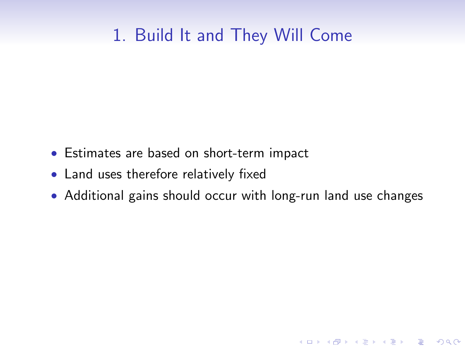## 1. Build It and They Will Come

- Estimates are based on short-term impact
- Land uses therefore relatively fixed
- Additional gains should occur with long-run land use changes

K ロ ▶ K @ ▶ K 할 > K 할 > 1 할 > 1 이익어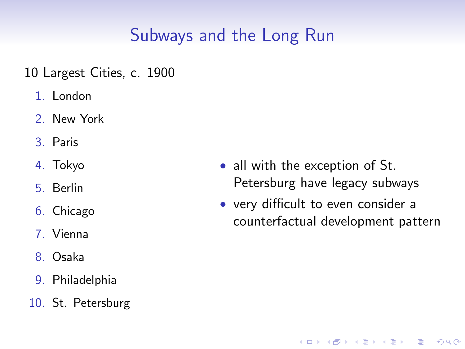# Subways and the Long Run

10 Largest Cities, c. 1900

- 1. London
- 2. New York
- 3. Paris
- 4. Tokyo
- 5. Berlin
- 6. Chicago
- 7. Vienna
- 8. Osaka
- 9. Philadelphia
- 10. St. Petersburg
- all with the exception of St. Petersburg have legacy subways
- very difficult to even consider a counterfactual development pattern

**KORK STRAIN A BAR SHOP**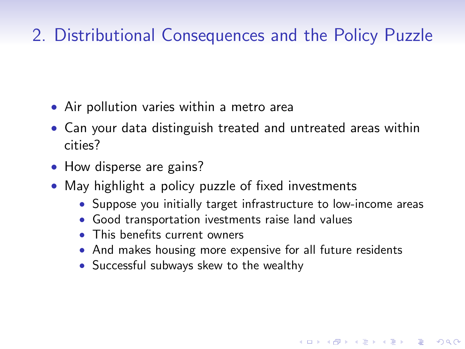# 2. Distributional Consequences and the Policy Puzzle

- Air pollution varies within a metro area
- Can your data distinguish treated and untreated areas within cities?
- How disperse are gains?
- May highlight a policy puzzle of fixed investments
	- Suppose you initially target infrastructure to low-income areas

- Good transportation ivestments raise land values
- This benefits current owners
- And makes housing more expensive for all future residents
- Successful subways skew to the wealthy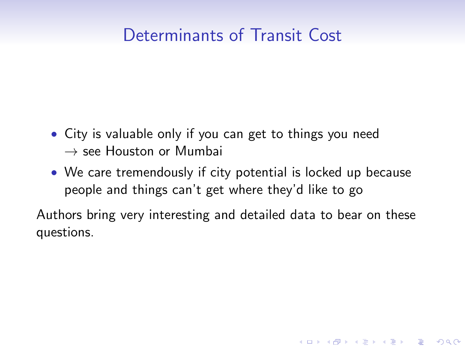### Determinants of Transit Cost

- City is valuable only if you can get to things you need  $\rightarrow$  see Houston or Mumbai
- We care tremendously if city potential is locked up because people and things can't get where they'd like to go

Authors bring very interesting and detailed data to bear on these questions.

**KORKA SERKER ORA**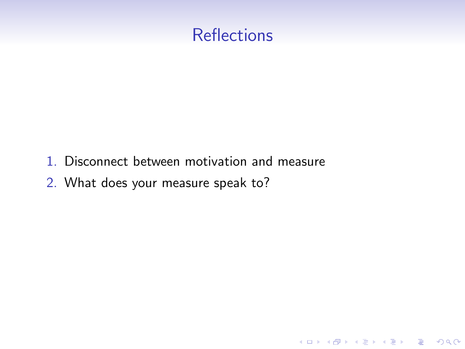#### **Reflections**

K ロ ▶ K @ ▶ K 할 > K 할 > 1 할 > 1 이익어

- 1. Disconnect between motivation and measure
- 2. What does your measure speak to?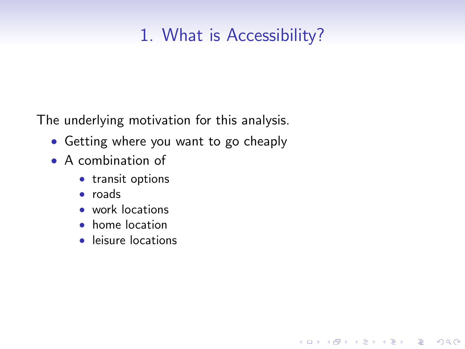# 1. What is Accessibility?

K ロ ▶ K @ ▶ K 할 > K 할 > 1 할 > 1 이익어

The underlying motivation for this analysis.

- Getting where you want to go cheaply
- A combination of
	- transit options
	- roads
	- work locations
	- home location
	- leisure locations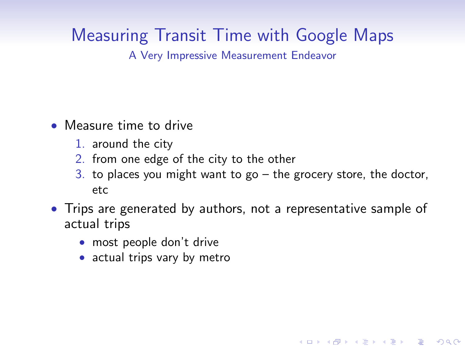# Measuring Transit Time with Google Maps

A Very Impressive Measurement Endeavor

- Measure time to drive
	- 1. around the city
	- 2. from one edge of the city to the other
	- 3. to places you might want to go  $-$  the grocery store, the doctor, etc

- Trips are generated by authors, not a representative sample of actual trips
	- most people don't drive
	- actual trips vary by metro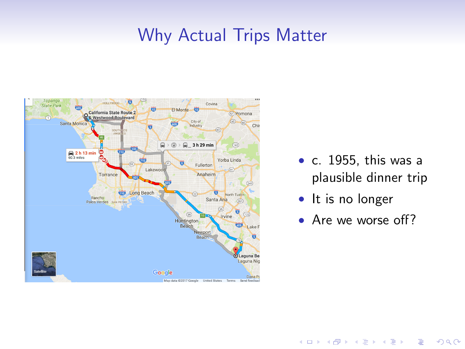#### Why Actual Trips Matter



- c. 1955, this was a plausible dinner trip
- It is no longer
- Are we worse off?

E LIZER KENNED K

 $2990$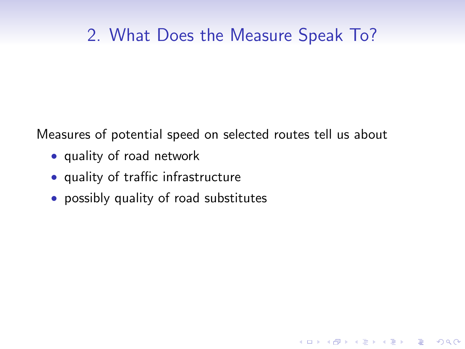### 2. What Does the Measure Speak To?

**KORKA SERKER ORA** 

Measures of potential speed on selected routes tell us about

- quality of road network
- quality of traffic infrastructure
- possibly quality of road substitutes